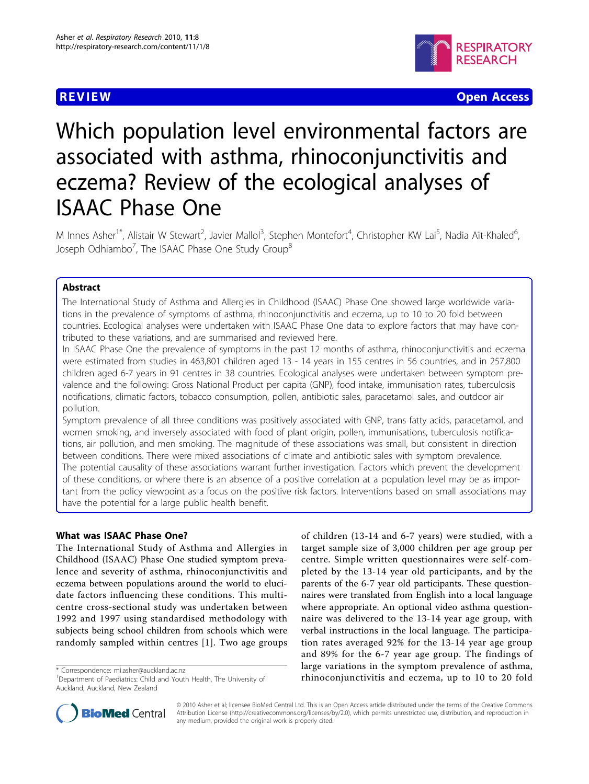

**REVIEW CONTROL** CONTROL CONTROL CONTROL CONTROL CONTROL CONTROL CONTROL CONTROL CONTROL CONTROL CONTROL CONTROL CONTROL CONTROL CONTROL CONTROL CONTROL CONTROL CONTROL CONTROL CONTROL CONTROL CONTROL CONTROL CONTROL CONTR

# Which population level environmental factors are associated with asthma, rhinoconjunctivitis and eczema? Review of the ecological analyses of ISAAC Phase One

M Innes Asher<sup>1\*</sup>, Alistair W Stewart<sup>2</sup>, Javier Mallol<sup>3</sup>, Stephen Montefort<sup>4</sup>, Christopher KW Lai<sup>5</sup>, Nadia Aït-Khaled<sup>6</sup> י<br>, Joseph Odhiambo<sup>7</sup>, The ISAAC Phase One Study Group<sup>8</sup>

# Abstract

The International Study of Asthma and Allergies in Childhood (ISAAC) Phase One showed large worldwide variations in the prevalence of symptoms of asthma, rhinoconjunctivitis and eczema, up to 10 to 20 fold between countries. Ecological analyses were undertaken with ISAAC Phase One data to explore factors that may have contributed to these variations, and are summarised and reviewed here.

In ISAAC Phase One the prevalence of symptoms in the past 12 months of asthma, rhinoconjunctivitis and eczema were estimated from studies in 463,801 children aged 13 - 14 years in 155 centres in 56 countries, and in 257,800 children aged 6-7 years in 91 centres in 38 countries. Ecological analyses were undertaken between symptom prevalence and the following: Gross National Product per capita (GNP), food intake, immunisation rates, tuberculosis notifications, climatic factors, tobacco consumption, pollen, antibiotic sales, paracetamol sales, and outdoor air pollution.

Symptom prevalence of all three conditions was positively associated with GNP, trans fatty acids, paracetamol, and women smoking, and inversely associated with food of plant origin, pollen, immunisations, tuberculosis notifications, air pollution, and men smoking. The magnitude of these associations was small, but consistent in direction between conditions. There were mixed associations of climate and antibiotic sales with symptom prevalence. The potential causality of these associations warrant further investigation. Factors which prevent the development of these conditions, or where there is an absence of a positive correlation at a population level may be as important from the policy viewpoint as a focus on the positive risk factors. Interventions based on small associations may have the potential for a large public health benefit.

# What was ISAAC Phase One?

The International Study of Asthma and Allergies in Childhood (ISAAC) Phase One studied symptom prevalence and severity of asthma, rhinoconjunctivitis and eczema between populations around the world to elucidate factors influencing these conditions. This multicentre cross-sectional study was undertaken between 1992 and 1997 using standardised methodology with subjects being school children from schools which were randomly sampled within centres [1]. Two age groups

\* Correspondence: mi.asher@auckland.ac.nz

of children (13-14 and 6-7 years) were studied, with a target sample size of 3,000 children per age group per centre. Simple written questionnaires were self-completed by the 13-14 year old participants, and by the parents of the 6-7 year old participants. These questionnaires were translated from English into a local language where appropriate. An optional video asthma questionnaire was delivered to the 13-14 year age group, with verbal instructions in the local language. The participation rates averaged 92% for the 13-14 year age group and 89% for the 6-7 year age group. The findings of large variations in the symptom prevalence of asthma, rhinoconjunctivitis and eczema, up to 10 to 20 fold



© 2010 Asher et al; licensee BioMed Central Ltd. This is an Open Access article distributed under the terms of the Creative Commons Attribution License (http://creativecommons.org/licenses/by/2.0), which permits unrestricted use, distribution, and reproduction in any medium, provided the original work is properly cited.

<sup>&</sup>lt;sup>1</sup>Department of Paediatrics: Child and Youth Health, The University of Auckland, Auckland, New Zealand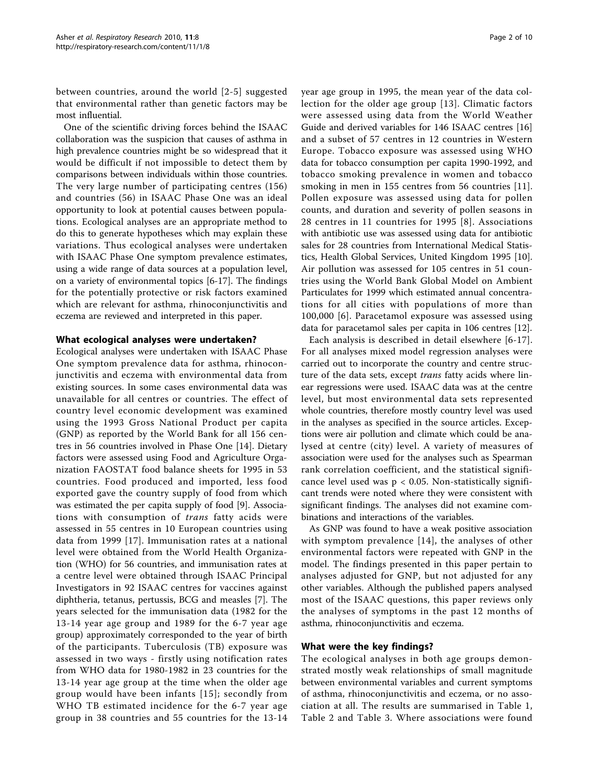between countries, around the world [2-5] suggested that environmental rather than genetic factors may be most influential.

One of the scientific driving forces behind the ISAAC collaboration was the suspicion that causes of asthma in high prevalence countries might be so widespread that it would be difficult if not impossible to detect them by comparisons between individuals within those countries. The very large number of participating centres (156) and countries (56) in ISAAC Phase One was an ideal opportunity to look at potential causes between populations. Ecological analyses are an appropriate method to do this to generate hypotheses which may explain these variations. Thus ecological analyses were undertaken with ISAAC Phase One symptom prevalence estimates, using a wide range of data sources at a population level, on a variety of environmental topics [6-17]. The findings for the potentially protective or risk factors examined which are relevant for asthma, rhinoconjunctivitis and eczema are reviewed and interpreted in this paper.

#### What ecological analyses were undertaken?

Ecological analyses were undertaken with ISAAC Phase One symptom prevalence data for asthma, rhinoconjunctivitis and eczema with environmental data from existing sources. In some cases environmental data was unavailable for all centres or countries. The effect of country level economic development was examined using the 1993 Gross National Product per capita (GNP) as reported by the World Bank for all 156 centres in 56 countries involved in Phase One [14]. Dietary factors were assessed using Food and Agriculture Organization FAOSTAT food balance sheets for 1995 in 53 countries. Food produced and imported, less food exported gave the country supply of food from which was estimated the per capita supply of food [9]. Associations with consumption of trans fatty acids were assessed in 55 centres in 10 European countries using data from 1999 [17]. Immunisation rates at a national level were obtained from the World Health Organization (WHO) for 56 countries, and immunisation rates at a centre level were obtained through ISAAC Principal Investigators in 92 ISAAC centres for vaccines against diphtheria, tetanus, pertussis, BCG and measles [7]. The years selected for the immunisation data (1982 for the 13-14 year age group and 1989 for the 6-7 year age group) approximately corresponded to the year of birth of the participants. Tuberculosis (TB) exposure was assessed in two ways - firstly using notification rates from WHO data for 1980-1982 in 23 countries for the 13-14 year age group at the time when the older age group would have been infants [15]; secondly from WHO TB estimated incidence for the 6-7 year age group in 38 countries and 55 countries for the 13-14 year age group in 1995, the mean year of the data collection for the older age group [13]. Climatic factors were assessed using data from the World Weather Guide and derived variables for 146 ISAAC centres [16] and a subset of 57 centres in 12 countries in Western Europe. Tobacco exposure was assessed using WHO data for tobacco consumption per capita 1990-1992, and tobacco smoking prevalence in women and tobacco smoking in men in 155 centres from 56 countries [11]. Pollen exposure was assessed using data for pollen counts, and duration and severity of pollen seasons in 28 centres in 11 countries for 1995 [8]. Associations with antibiotic use was assessed using data for antibiotic sales for 28 countries from International Medical Statistics, Health Global Services, United Kingdom 1995 [10]. Air pollution was assessed for 105 centres in 51 countries using the World Bank Global Model on Ambient Particulates for 1999 which estimated annual concentrations for all cities with populations of more than 100,000 [6]. Paracetamol exposure was assessed using data for paracetamol sales per capita in 106 centres [12].

Each analysis is described in detail elsewhere [6-17]. For all analyses mixed model regression analyses were carried out to incorporate the country and centre structure of the data sets, except *trans* fatty acids where linear regressions were used. ISAAC data was at the centre level, but most environmental data sets represented whole countries, therefore mostly country level was used in the analyses as specified in the source articles. Exceptions were air pollution and climate which could be analysed at centre (city) level. A variety of measures of association were used for the analyses such as Spearman rank correlation coefficient, and the statistical significance level used was  $p < 0.05$ . Non-statistically significant trends were noted where they were consistent with significant findings. The analyses did not examine combinations and interactions of the variables.

As GNP was found to have a weak positive association with symptom prevalence [14], the analyses of other environmental factors were repeated with GNP in the model. The findings presented in this paper pertain to analyses adjusted for GNP, but not adjusted for any other variables. Although the published papers analysed most of the ISAAC questions, this paper reviews only the analyses of symptoms in the past 12 months of asthma, rhinoconjunctivitis and eczema.

# What were the key findings?

The ecological analyses in both age groups demonstrated mostly weak relationships of small magnitude between environmental variables and current symptoms of asthma, rhinoconjunctivitis and eczema, or no association at all. The results are summarised in Table 1, Table 2 and Table 3. Where associations were found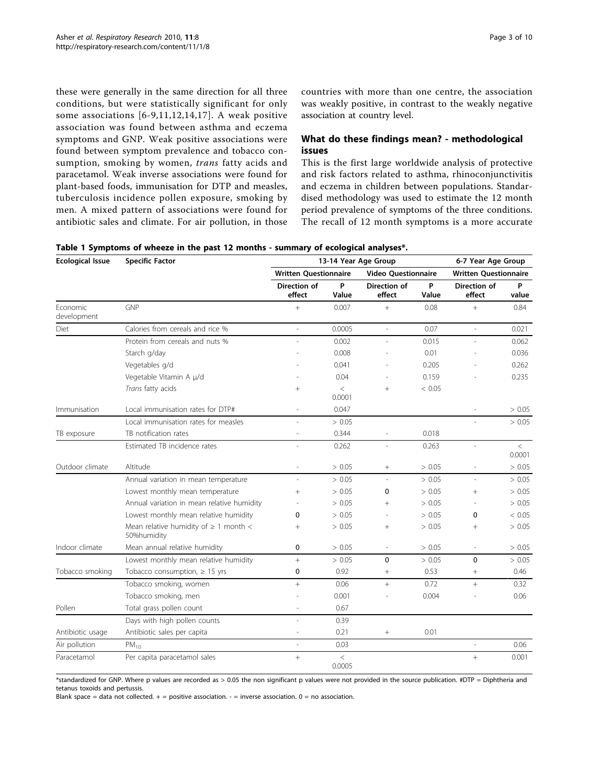these were generally in the same direction for all three conditions, but were statistically significant for only some associations [6-9,11,12,14,17]. A weak positive association was found between asthma and eczema symptoms and GNP. Weak positive associations were found between symptom prevalence and tobacco consumption, smoking by women, trans fatty acids and paracetamol. Weak inverse associations were found for plant-based foods, immunisation for DTP and measles, tuberculosis incidence pollen exposure, smoking by men. A mixed pattern of associations were found for antibiotic sales and climate. For air pollution, in those

countries with more than one centre, the association was weakly positive, in contrast to the weakly negative association at country level.

# What do these findings mean? - methodological issues

This is the first large worldwide analysis of protective and risk factors related to asthma, rhinoconjunctivitis and eczema in children between populations. Standardised methodology was used to estimate the 12 month period prevalence of symptoms of the three conditions. The recall of 12 month symptoms is a more accurate

| <b>Ecological Issue</b> | <b>Specific Factor</b>                                    | 13-14 Year Age Group         |                     |                            |            | 6-7 Year Age Group           |                 |
|-------------------------|-----------------------------------------------------------|------------------------------|---------------------|----------------------------|------------|------------------------------|-----------------|
|                         |                                                           | <b>Written Questionnaire</b> |                     | <b>Video Ouestionnaire</b> |            | <b>Written Questionnaire</b> |                 |
|                         |                                                           | Direction of<br>effect       | P<br>Value          | Direction of<br>effect     | P<br>Value | Direction of<br>effect       | P<br>value      |
| Economic<br>development | GNP                                                       | $+$                          | 0.007               | $+$                        | 0.08       | $+$                          | 0.84            |
| Diet                    | Calories from cereals and rice %                          | $\overline{\phantom{a}}$     | 0.0005              | $\overline{\phantom{a}}$   | 0.07       | $\overline{\phantom{a}}$     | 0.021           |
|                         | Protein from cereals and nuts %                           |                              | 0.002               | $\overline{a}$             | 0.015      |                              | 0.062           |
|                         | Starch g/day                                              |                              | 0.008               |                            | 0.01       |                              | 0.036           |
|                         | Vegetables g/d                                            |                              | 0.041               |                            | 0.205      |                              | 0.262           |
|                         | Vegetable Vitamin A µ/d                                   |                              | 0.04                |                            | 0.159      |                              | 0.235           |
|                         | Trans fatty acids                                         | $\! + \!\!\!\!$              | $\lt$<br>0.0001     | $^{+}$                     | < 0.05     |                              |                 |
| Immunisation            | Local immunisation rates for DTP#                         |                              | 0.047               |                            |            |                              | > 0.05          |
|                         | Local immunisation rates for measles                      |                              | > 0.05              |                            |            |                              | > 0.05          |
| TB exposure             | TB notification rates                                     | L,                           | 0.344               |                            | 0.018      |                              |                 |
|                         | Estimated TB incidence rates                              | ÷                            | 0.262               | $\overline{a}$             | 0.263      | $\overline{\phantom{a}}$     | $\lt$<br>0.0001 |
| Outdoor climate         | Altitude                                                  | $\overline{\phantom{a}}$     | > 0.05              | $^{+}$                     | > 0.05     | $\overline{\phantom{a}}$     | > 0.05          |
|                         | Annual variation in mean temperature                      | $\overline{\phantom{a}}$     | > 0.05              | $\overline{\phantom{a}}$   | > 0.05     | $\overline{\phantom{a}}$     | > 0.05          |
|                         | Lowest monthly mean temperature                           | $+$                          | > 0.05              | 0                          | > 0.05     | $^{+}$                       | > 0.05          |
|                         | Annual variation in mean relative humidity                |                              | > 0.05              | $+$                        | > 0.05     |                              | > 0.05          |
|                         | Lowest monthly mean relative humidity                     | 0                            | > 0.05              |                            | > 0.05     | 0                            | < 0.05          |
|                         | Mean relative humidity of $\geq 1$ month <<br>50%humidity | $+$                          | > 0.05              | $^{+}$                     | > 0.05     | $^{+}$                       | > 0.05          |
| Indoor climate          | Mean annual relative humidity                             | 0                            | > 0.05              |                            | > 0.05     |                              | > 0.05          |
|                         | Lowest monthly mean relative humidity                     | $^{+}$                       | > 0.05              | $\Omega$                   | > 0.05     | $\Omega$                     | > 0.05          |
| Tobacco smoking         | Tobacco consumption, $\geq 15$ yrs                        | 0                            | 0.92                | $^{+}$                     | 0.53       | $^{+}$                       | 0.46            |
|                         | Tobacco smoking, women                                    | $^{+}$                       | 0.06                | $+$                        | 0.72       | $+$                          | 0.32            |
|                         | Tobacco smoking, men                                      |                              | 0.001               |                            | 0.004      |                              | 0.06            |
| Pollen                  | Total grass pollen count                                  |                              | 0.67                |                            |            |                              |                 |
|                         | Days with high pollen counts                              |                              | 0.39                |                            |            |                              |                 |
| Antibiotic usage        | Antibiotic sales per capita                               | $\overline{a}$               | 0.21                | $^{+}$                     | 0.01       |                              |                 |
| Air pollution           | $PM_{10}$                                                 | $\overline{\phantom{a}}$     | 0.03                |                            |            | L.                           | 0.06            |
| Paracetamol             | Per capita paracetamol sales                              | $\ddot{}$                    | $\bar{<}$<br>0.0005 |                            |            | $\! +$                       | 0.001           |

|  | Table 1 Symptoms of wheeze in the past 12 months - summary of ecological analyses*. |  |  |  |  |  |  |
|--|-------------------------------------------------------------------------------------|--|--|--|--|--|--|
|--|-------------------------------------------------------------------------------------|--|--|--|--|--|--|

\*standardized for GNP. Where p values are recorded as > 0.05 the non significant p values were not provided in the source publication. #DTP = Diphtheria and tetanus toxoids and pertussis.

Blank space = data not collected.  $+$  = positive association.  $-$  = inverse association.  $0$  = no association.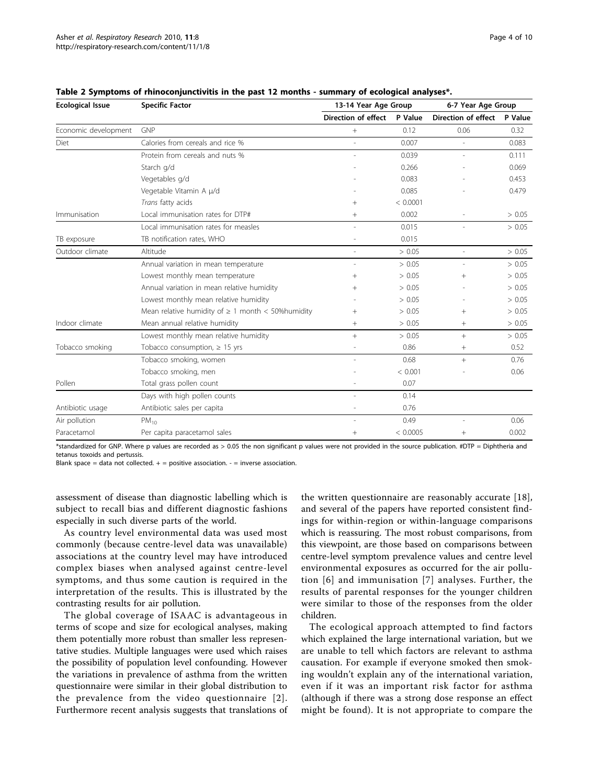| <b>Ecological Issue</b> | <b>Specific Factor</b>                                  | 13-14 Year Age Group       |                                                                                                                                                                                                                                                                                                                       |        |         |  |
|-------------------------|---------------------------------------------------------|----------------------------|-----------------------------------------------------------------------------------------------------------------------------------------------------------------------------------------------------------------------------------------------------------------------------------------------------------------------|--------|---------|--|
|                         |                                                         | <b>Direction of effect</b> |                                                                                                                                                                                                                                                                                                                       |        | P Value |  |
| Economic development    | GNP                                                     | $^{+}$                     | 0.12                                                                                                                                                                                                                                                                                                                  | 0.06   | 0.32    |  |
| Diet                    | Calories from cereals and rice %                        |                            | 0.007                                                                                                                                                                                                                                                                                                                 |        | 0.083   |  |
|                         | Protein from cereals and nuts %                         |                            | 0.039                                                                                                                                                                                                                                                                                                                 |        | 0.111   |  |
|                         | Starch g/d                                              |                            | 0.266                                                                                                                                                                                                                                                                                                                 |        | 0.069   |  |
|                         | Vegetables g/d                                          |                            | 0.083                                                                                                                                                                                                                                                                                                                 |        | 0.453   |  |
|                         | Vegetable Vitamin A µ/d                                 |                            | 0.085                                                                                                                                                                                                                                                                                                                 |        | 0.479   |  |
|                         | Trans fatty acids                                       | $^{+}$                     | < 0.0001                                                                                                                                                                                                                                                                                                              |        |         |  |
| Immunisation            | Local immunisation rates for DTP#                       | $+$                        | 0.002                                                                                                                                                                                                                                                                                                                 |        | > 0.05  |  |
|                         | Local immunisation rates for measles                    | $\overline{\phantom{a}}$   | 6-7 Year Age Group<br><b>Direction of effect</b><br>P Value<br>0.015<br>$\overline{\phantom{a}}$<br>0.015<br>> 0.05<br>÷<br>> 0.05<br>> 0.05<br>$^{+}$<br>> 0.05<br>> 0.05<br>> 0.05<br>$^{+}$<br>> 0.05<br>$^{+}$<br>> 0.05<br>$^{+}$<br>0.86<br>$^{+}$<br>0.68<br>$^{+}$<br>< 0.001<br>0.07<br>0.14<br>0.76<br>0.49 | > 0.05 |         |  |
| TB exposure             | TB notification rates, WHO                              |                            |                                                                                                                                                                                                                                                                                                                       |        |         |  |
| Outdoor climate         | Altitude                                                | $\overline{a}$             |                                                                                                                                                                                                                                                                                                                       | $^{+}$ | > 0.05  |  |
|                         | Annual variation in mean temperature                    |                            |                                                                                                                                                                                                                                                                                                                       | > 0.05 |         |  |
|                         | Lowest monthly mean temperature                         | $^{+}$                     |                                                                                                                                                                                                                                                                                                                       |        | > 0.05  |  |
|                         | Annual variation in mean relative humidity              | $^{+}$                     |                                                                                                                                                                                                                                                                                                                       |        | > 0.05  |  |
|                         | Lowest monthly mean relative humidity                   |                            |                                                                                                                                                                                                                                                                                                                       |        | > 0.05  |  |
|                         | Mean relative humidity of $\geq 1$ month < 50% humidity | $^{+}$                     |                                                                                                                                                                                                                                                                                                                       |        | > 0.05  |  |
| Indoor climate          | Mean annual relative humidity                           | $^{+}$                     |                                                                                                                                                                                                                                                                                                                       |        | > 0.05  |  |
|                         | Lowest monthly mean relative humidity                   | $^{+}$                     |                                                                                                                                                                                                                                                                                                                       |        | > 0.05  |  |
| Tobacco smoking         | Tobacco consumption, $\geq 15$ yrs                      |                            |                                                                                                                                                                                                                                                                                                                       |        | 0.52    |  |
|                         | Tobacco smoking, women                                  |                            |                                                                                                                                                                                                                                                                                                                       |        | 0.76    |  |
|                         | Tobacco smoking, men                                    |                            |                                                                                                                                                                                                                                                                                                                       |        | 0.06    |  |
| Pollen                  | Total grass pollen count                                |                            |                                                                                                                                                                                                                                                                                                                       |        |         |  |
|                         | Days with high pollen counts                            |                            |                                                                                                                                                                                                                                                                                                                       |        |         |  |
| Antibiotic usage        | Antibiotic sales per capita                             |                            |                                                                                                                                                                                                                                                                                                                       |        |         |  |
| Air pollution           | $PM_{10}$                                               |                            |                                                                                                                                                                                                                                                                                                                       |        | 0.06    |  |
| Paracetamol             | Per capita paracetamol sales                            | $^{+}$                     | < 0.0005                                                                                                                                                                                                                                                                                                              |        | 0.002   |  |

Table 2 Symptoms of rhinoconjunctivitis in the past 12 months - summary of ecological analyses\*.

\*standardized for GNP. Where p values are recorded as > 0.05 the non significant p values were not provided in the source publication. #DTP = Diphtheria and tetanus toxoids and pertussis.

Blank space = data not collected.  $+$  = positive association. - = inverse association

assessment of disease than diagnostic labelling which is subject to recall bias and different diagnostic fashions especially in such diverse parts of the world.

As country level environmental data was used most commonly (because centre-level data was unavailable) associations at the country level may have introduced complex biases when analysed against centre-level symptoms, and thus some caution is required in the interpretation of the results. This is illustrated by the contrasting results for air pollution.

The global coverage of ISAAC is advantageous in terms of scope and size for ecological analyses, making them potentially more robust than smaller less representative studies. Multiple languages were used which raises the possibility of population level confounding. However the variations in prevalence of asthma from the written questionnaire were similar in their global distribution to the prevalence from the video questionnaire [2]. Furthermore recent analysis suggests that translations of

the written questionnaire are reasonably accurate [18], and several of the papers have reported consistent findings for within-region or within-language comparisons which is reassuring. The most robust comparisons, from this viewpoint, are those based on comparisons between centre-level symptom prevalence values and centre level environmental exposures as occurred for the air pollution [6] and immunisation [7] analyses. Further, the results of parental responses for the younger children were similar to those of the responses from the older children.

The ecological approach attempted to find factors which explained the large international variation, but we are unable to tell which factors are relevant to asthma causation. For example if everyone smoked then smoking wouldn't explain any of the international variation, even if it was an important risk factor for asthma (although if there was a strong dose response an effect might be found). It is not appropriate to compare the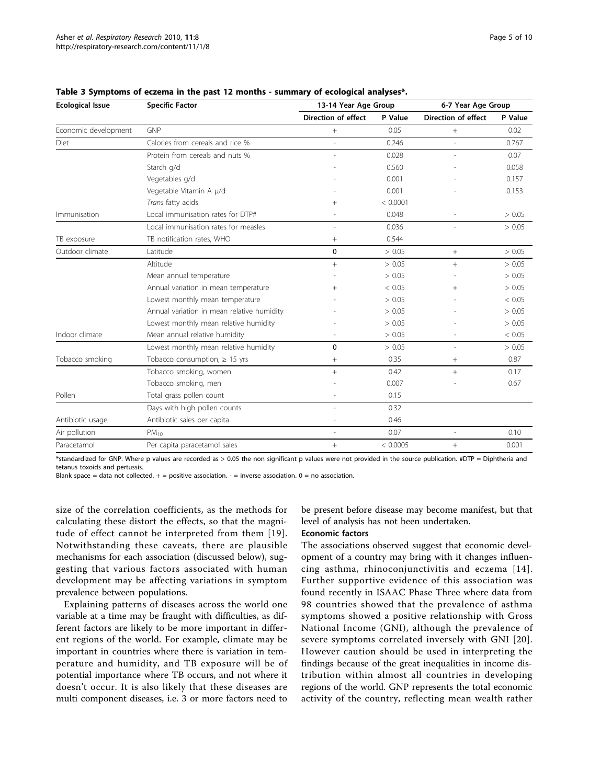| <b>Ecological Issue</b> | <b>Specific Factor</b>                     | 13-14 Year Age Group       |          | 6-7 Year Age Group                                                                                                                                                                                                                                                       |         |  |
|-------------------------|--------------------------------------------|----------------------------|----------|--------------------------------------------------------------------------------------------------------------------------------------------------------------------------------------------------------------------------------------------------------------------------|---------|--|
|                         |                                            | <b>Direction of effect</b> | P Value  | <b>Direction of effect</b>                                                                                                                                                                                                                                               | P Value |  |
| Economic development    | GNP                                        | $^{+}$                     | 0.05     | $+$                                                                                                                                                                                                                                                                      | 0.02    |  |
| Diet                    | Calories from cereals and rice %           | ÷                          | 0.246    | ÷                                                                                                                                                                                                                                                                        | 0.767   |  |
|                         | Protein from cereals and nuts %            |                            | 0.028    | $\overline{\phantom{a}}$                                                                                                                                                                                                                                                 | 0.07    |  |
|                         | Starch g/d                                 |                            | 0.560    |                                                                                                                                                                                                                                                                          | 0.058   |  |
|                         | Vegetables g/d                             |                            | 0.001    |                                                                                                                                                                                                                                                                          | 0.157   |  |
|                         | Vegetable Vitamin A µ/d                    |                            | 0.001    |                                                                                                                                                                                                                                                                          | 0.153   |  |
|                         | Trans fatty acids                          | $^{+}$                     | < 0.0001 |                                                                                                                                                                                                                                                                          |         |  |
| Immunisation            | Local immunisation rates for DTP#          |                            | 0.048    | 0.036<br>0.544<br>> 0.05<br>$+$<br>> 0.05<br>$+$<br>> 0.05<br>< 0.05<br>$+$<br>> 0.05<br>> 0.05<br>> 0.05<br>> 0.05<br>> 0.05<br>$\overline{a}$<br>0.35<br>$^{+}$<br>0.42<br>$+$<br>0.007<br>0.15<br>0.32<br>0.46<br>0.07<br>$\overline{\phantom{a}}$<br>< 0.0005<br>$+$ | > 0.05  |  |
| TB exposure             | Local immunisation rates for measles       |                            |          |                                                                                                                                                                                                                                                                          | > 0.05  |  |
|                         | TB notification rates, WHO                 | $+$                        |          |                                                                                                                                                                                                                                                                          |         |  |
| Outdoor climate         | Latitude                                   | 0                          |          |                                                                                                                                                                                                                                                                          | > 0.05  |  |
|                         | Altitude                                   | $+$                        |          |                                                                                                                                                                                                                                                                          | > 0.05  |  |
|                         | Mean annual temperature                    |                            |          |                                                                                                                                                                                                                                                                          | > 0.05  |  |
|                         | Annual variation in mean temperature       |                            |          |                                                                                                                                                                                                                                                                          | > 0.05  |  |
|                         | Lowest monthly mean temperature            |                            |          |                                                                                                                                                                                                                                                                          | < 0.05  |  |
|                         | Annual variation in mean relative humidity |                            |          |                                                                                                                                                                                                                                                                          | > 0.05  |  |
|                         | Lowest monthly mean relative humidity      |                            |          |                                                                                                                                                                                                                                                                          | > 0.05  |  |
| Indoor climate          | Mean annual relative humidity              |                            |          |                                                                                                                                                                                                                                                                          | < 0.05  |  |
|                         | Lowest monthly mean relative humidity      | $\Omega$                   |          |                                                                                                                                                                                                                                                                          | > 0.05  |  |
| Tobacco smoking         | Tobacco consumption, $\geq 15$ yrs         | $^{+}$                     |          |                                                                                                                                                                                                                                                                          | 0.87    |  |
|                         | Tobacco smoking, women                     | $^{+}$                     |          |                                                                                                                                                                                                                                                                          | 0.17    |  |
|                         | Tobacco smoking, men                       |                            |          |                                                                                                                                                                                                                                                                          | 0.67    |  |
| Pollen                  | Total grass pollen count                   |                            |          |                                                                                                                                                                                                                                                                          |         |  |
|                         | Days with high pollen counts               |                            |          |                                                                                                                                                                                                                                                                          |         |  |
| Antibiotic usage        | Antibiotic sales per capita                | ÷                          |          |                                                                                                                                                                                                                                                                          |         |  |
| Air pollution           | $PM_{10}$                                  | $\overline{\phantom{a}}$   |          |                                                                                                                                                                                                                                                                          | 0.10    |  |
| Paracetamol             | Per capita paracetamol sales               | $+$                        |          |                                                                                                                                                                                                                                                                          | 0.001   |  |

\*standardized for GNP. Where p values are recorded as > 0.05 the non significant p values were not provided in the source publication. #DTP = Diphtheria and tetanus toxoids and pertussis.

Blank space = data not collected.  $+$  = positive association.  $-$  = inverse association.  $0$  = no association.

size of the correlation coefficients, as the methods for calculating these distort the effects, so that the magnitude of effect cannot be interpreted from them [19]. Notwithstanding these caveats, there are plausible mechanisms for each association (discussed below), suggesting that various factors associated with human development may be affecting variations in symptom prevalence between populations.

Explaining patterns of diseases across the world one variable at a time may be fraught with difficulties, as different factors are likely to be more important in different regions of the world. For example, climate may be important in countries where there is variation in temperature and humidity, and TB exposure will be of potential importance where TB occurs, and not where it doesn't occur. It is also likely that these diseases are multi component diseases, i.e. 3 or more factors need to

be present before disease may become manifest, but that level of analysis has not been undertaken.

# Economic factors

The associations observed suggest that economic development of a country may bring with it changes influencing asthma, rhinoconjunctivitis and eczema [14]. Further supportive evidence of this association was found recently in ISAAC Phase Three where data from 98 countries showed that the prevalence of asthma symptoms showed a positive relationship with Gross National Income (GNI), although the prevalence of severe symptoms correlated inversely with GNI [20]. However caution should be used in interpreting the findings because of the great inequalities in income distribution within almost all countries in developing regions of the world. GNP represents the total economic activity of the country, reflecting mean wealth rather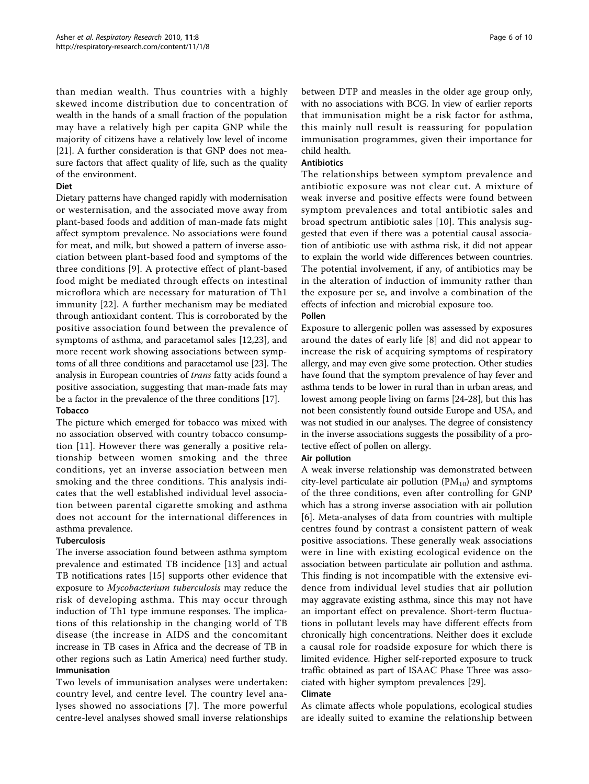than median wealth. Thus countries with a highly skewed income distribution due to concentration of wealth in the hands of a small fraction of the population may have a relatively high per capita GNP while the majority of citizens have a relatively low level of income [21]. A further consideration is that GNP does not measure factors that affect quality of life, such as the quality of the environment.

# Diet

Dietary patterns have changed rapidly with modernisation or westernisation, and the associated move away from plant-based foods and addition of man-made fats might affect symptom prevalence. No associations were found for meat, and milk, but showed a pattern of inverse association between plant-based food and symptoms of the three conditions [9]. A protective effect of plant-based food might be mediated through effects on intestinal microflora which are necessary for maturation of Th1 immunity [22]. A further mechanism may be mediated through antioxidant content. This is corroborated by the positive association found between the prevalence of symptoms of asthma, and paracetamol sales [12,23], and more recent work showing associations between symptoms of all three conditions and paracetamol use [23]. The analysis in European countries of trans fatty acids found a positive association, suggesting that man-made fats may be a factor in the prevalence of the three conditions [17]. Tobacco

The picture which emerged for tobacco was mixed with no association observed with country tobacco consumption [11]. However there was generally a positive relationship between women smoking and the three conditions, yet an inverse association between men smoking and the three conditions. This analysis indicates that the well established individual level association between parental cigarette smoking and asthma does not account for the international differences in asthma prevalence.

# Tuberculosis

The inverse association found between asthma symptom prevalence and estimated TB incidence [13] and actual TB notifications rates [15] supports other evidence that exposure to Mycobacterium tuberculosis may reduce the risk of developing asthma. This may occur through induction of Th1 type immune responses. The implications of this relationship in the changing world of TB disease (the increase in AIDS and the concomitant increase in TB cases in Africa and the decrease of TB in other regions such as Latin America) need further study. Immunisation

Two levels of immunisation analyses were undertaken: country level, and centre level. The country level analyses showed no associations [7]. The more powerful centre-level analyses showed small inverse relationships between DTP and measles in the older age group only, with no associations with BCG. In view of earlier reports that immunisation might be a risk factor for asthma, this mainly null result is reassuring for population immunisation programmes, given their importance for child health.

# Antibiotics

The relationships between symptom prevalence and antibiotic exposure was not clear cut. A mixture of weak inverse and positive effects were found between symptom prevalences and total antibiotic sales and broad spectrum antibiotic sales [10]. This analysis suggested that even if there was a potential causal association of antibiotic use with asthma risk, it did not appear to explain the world wide differences between countries. The potential involvement, if any, of antibiotics may be in the alteration of induction of immunity rather than the exposure per se, and involve a combination of the effects of infection and microbial exposure too.

# Pollen

Exposure to allergenic pollen was assessed by exposures around the dates of early life [8] and did not appear to increase the risk of acquiring symptoms of respiratory allergy, and may even give some protection. Other studies have found that the symptom prevalence of hay fever and asthma tends to be lower in rural than in urban areas, and lowest among people living on farms [24-28], but this has not been consistently found outside Europe and USA, and was not studied in our analyses. The degree of consistency in the inverse associations suggests the possibility of a protective effect of pollen on allergy.

# Air pollution

A weak inverse relationship was demonstrated between city-level particulate air pollution  $(PM_{10})$  and symptoms of the three conditions, even after controlling for GNP which has a strong inverse association with air pollution [6]. Meta-analyses of data from countries with multiple centres found by contrast a consistent pattern of weak positive associations. These generally weak associations were in line with existing ecological evidence on the association between particulate air pollution and asthma. This finding is not incompatible with the extensive evidence from individual level studies that air pollution may aggravate existing asthma, since this may not have an important effect on prevalence. Short-term fluctuations in pollutant levels may have different effects from chronically high concentrations. Neither does it exclude a causal role for roadside exposure for which there is limited evidence. Higher self-reported exposure to truck traffic obtained as part of ISAAC Phase Three was associated with higher symptom prevalences [29].

# Climate

As climate affects whole populations, ecological studies are ideally suited to examine the relationship between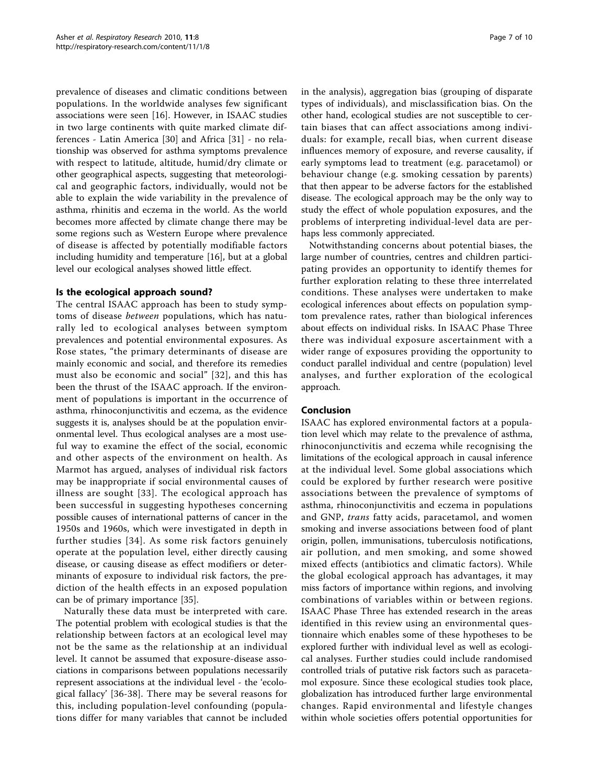prevalence of diseases and climatic conditions between populations. In the worldwide analyses few significant associations were seen [16]. However, in ISAAC studies in two large continents with quite marked climate differences - Latin America [30] and Africa [31] - no relationship was observed for asthma symptoms prevalence with respect to latitude, altitude, humid/dry climate or other geographical aspects, suggesting that meteorological and geographic factors, individually, would not be able to explain the wide variability in the prevalence of asthma, rhinitis and eczema in the world. As the world becomes more affected by climate change there may be some regions such as Western Europe where prevalence of disease is affected by potentially modifiable factors including humidity and temperature [16], but at a global level our ecological analyses showed little effect.

# Is the ecological approach sound?

The central ISAAC approach has been to study symptoms of disease between populations, which has naturally led to ecological analyses between symptom prevalences and potential environmental exposures. As Rose states, "the primary determinants of disease are mainly economic and social, and therefore its remedies must also be economic and social" [32], and this has been the thrust of the ISAAC approach. If the environment of populations is important in the occurrence of asthma, rhinoconjunctivitis and eczema, as the evidence suggests it is, analyses should be at the population environmental level. Thus ecological analyses are a most useful way to examine the effect of the social, economic and other aspects of the environment on health. As Marmot has argued, analyses of individual risk factors may be inappropriate if social environmental causes of illness are sought [33]. The ecological approach has been successful in suggesting hypotheses concerning possible causes of international patterns of cancer in the 1950s and 1960s, which were investigated in depth in further studies [34]. As some risk factors genuinely operate at the population level, either directly causing disease, or causing disease as effect modifiers or determinants of exposure to individual risk factors, the prediction of the health effects in an exposed population can be of primary importance [35].

Naturally these data must be interpreted with care. The potential problem with ecological studies is that the relationship between factors at an ecological level may not be the same as the relationship at an individual level. It cannot be assumed that exposure-disease associations in comparisons between populations necessarily represent associations at the individual level - the 'ecological fallacy' [36-38]. There may be several reasons for this, including population-level confounding (populations differ for many variables that cannot be included in the analysis), aggregation bias (grouping of disparate types of individuals), and misclassification bias. On the other hand, ecological studies are not susceptible to certain biases that can affect associations among individuals: for example, recall bias, when current disease influences memory of exposure, and reverse causality, if early symptoms lead to treatment (e.g. paracetamol) or behaviour change (e.g. smoking cessation by parents) that then appear to be adverse factors for the established disease. The ecological approach may be the only way to study the effect of whole population exposures, and the problems of interpreting individual-level data are perhaps less commonly appreciated.

Notwithstanding concerns about potential biases, the large number of countries, centres and children participating provides an opportunity to identify themes for further exploration relating to these three interrelated conditions. These analyses were undertaken to make ecological inferences about effects on population symptom prevalence rates, rather than biological inferences about effects on individual risks. In ISAAC Phase Three there was individual exposure ascertainment with a wider range of exposures providing the opportunity to conduct parallel individual and centre (population) level analyses, and further exploration of the ecological approach.

# Conclusion

ISAAC has explored environmental factors at a population level which may relate to the prevalence of asthma, rhinoconjunctivitis and eczema while recognising the limitations of the ecological approach in causal inference at the individual level. Some global associations which could be explored by further research were positive associations between the prevalence of symptoms of asthma, rhinoconjunctivitis and eczema in populations and GNP, trans fatty acids, paracetamol, and women smoking and inverse associations between food of plant origin, pollen, immunisations, tuberculosis notifications, air pollution, and men smoking, and some showed mixed effects (antibiotics and climatic factors). While the global ecological approach has advantages, it may miss factors of importance within regions, and involving combinations of variables within or between regions. ISAAC Phase Three has extended research in the areas identified in this review using an environmental questionnaire which enables some of these hypotheses to be explored further with individual level as well as ecological analyses. Further studies could include randomised controlled trials of putative risk factors such as paracetamol exposure. Since these ecological studies took place, globalization has introduced further large environmental changes. Rapid environmental and lifestyle changes within whole societies offers potential opportunities for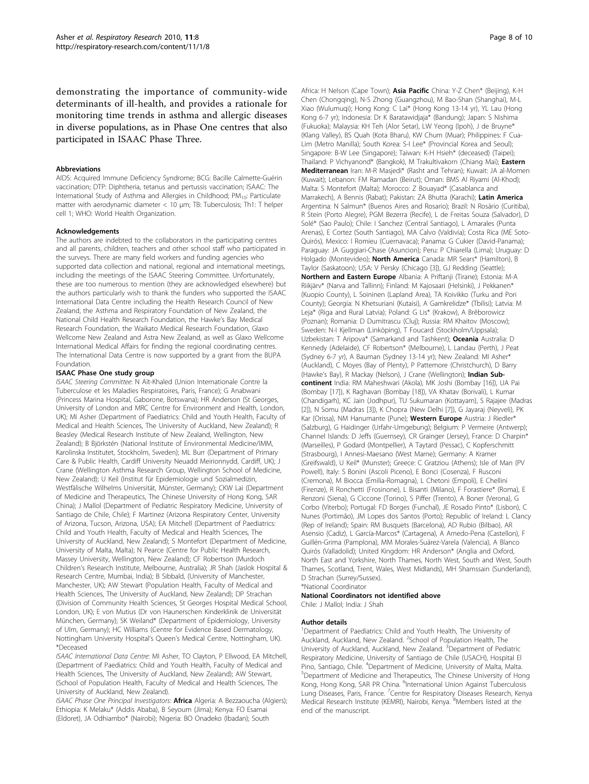demonstrating the importance of community-wide determinants of ill-health, and provides a rationale for monitoring time trends in asthma and allergic diseases in diverse populations, as in Phase One centres that also participated in ISAAC Phase Three.

#### Abbreviations

AIDS: Acquired Immune Deficiency Syndrome; BCG: Bacille Calmette-Guérin vaccination; DTP: Diphtheria, tetanus and pertussis vaccination; ISAAC: The International Study of Asthma and Allergies in Childhood; PM<sub>10</sub>: Particulate matter with aerodynamic diameter < 10 μm; TB: Tuberculosis; Th1: T helper cell 1; WHO: World Health Organization.

#### Acknowledgements

The authors are indebted to the collaborators in the participating centres and all parents, children, teachers and other school staff who participated in the surveys. There are many field workers and funding agencies who supported data collection and national, regional and international meetings, including the meetings of the ISAAC Steering Committee. Unfortunately, these are too numerous to mention (they are acknowledged elsewhere) but the authors particularly wish to thank the funders who supported the ISAAC International Data Centre including the Health Research Council of New Zealand, the Asthma and Respiratory Foundation of New Zealand, the National Child Health Research Foundation, the Hawke's Bay Medical Research Foundation, the Waikato Medical Research Foundation, Glaxo Wellcome New Zealand and Astra New Zealand, as well as Glaxo Wellcome International Medical Affairs for finding the regional coordinating centres. The International Data Centre is now supported by a grant from the BUPA Foundation.

#### ISAAC Phase One study group

ISAAC Steering Committee: N Aït-Khaled (Union Internationale Contre la Tuberculose et les Maladies Respiratoires, Paris, France); G Anabwani (Princess Marina Hospital, Gaborone, Botswana); HR Anderson (St Georges, University of London and MRC Centre for Environment and Health, London, UK); MI Asher (Department of Paediatrics: Child and Youth Health, Faculty of Medical and Health Sciences, The University of Auckland, New Zealand); R Beasley (Medical Research Institute of New Zealand, Wellington, New Zealand); B Björkstén (National Institute of Environmental Medicine/IMM, Karolinska Institutet, Stockholm, Sweden); ML Burr (Department of Primary Care & Public Health, Cardiff University Neuadd Meirionnydd, Cardiff, UK); J Crane (Wellington Asthma Research Group, Wellington School of Medicine, New Zealand); U Keil (Institut für Epidemiologie und Sozialmedizin, Westfälische Wilhelms Universität, Münster, Germany); CKW Lai (Department of Medicine and Therapeutics, The Chinese University of Hong Kong, SAR China); J Mallol (Department of Pediatric Respiratory Medicine, University of Santiago de Chile, Chile); F Martinez (Arizona Respiratory Center, University of Arizona, Tucson, Arizona, USA); EA Mitchell (Department of Paediatrics: Child and Youth Health, Faculty of Medical and Health Sciences, The University of Auckland, New Zealand); S Montefort (Department of Medicine, University of Malta, Malta); N Pearce (Centre for Public Health Research, Massey University, Wellington, New Zealand); CF Robertson (Murdoch Children's Research Institute, Melbourne, Australia); JR Shah (Jaslok Hospital & Research Centre, Mumbai, India); B Sibbald, (University of Manchester, Manchester, UK); AW Stewart (Population Health, Faculty of Medical and Health Sciences, The University of Auckland, New Zealand); DP Strachan (Division of Community Health Sciences, St Georges Hospital Medical School, London, UK); E von Mutius (Dr von Haunerschen Kinderklinik de Universität München, Germany); SK Weiland\* (Department of Epidemiology, University of Ulm, Germany); HC Williams (Centre for Evidence Based Dermatology, Nottingham University Hospital's Queen's Medical Centre, Nottingham, UK). \*Deceased

ISAAC International Data Centre: MI Asher, TO Clayton, P Ellwood, EA Mitchell, (Department of Paediatrics: Child and Youth Health, Faculty of Medical and Health Sciences, The University of Auckland, New Zealand); AW Stewart, (School of Population Health, Faculty of Medical and Health Sciences, The University of Auckland, New Zealand).

ISAAC Phase One Principal Investigators: Africa Algeria: A Bezzaoucha (Algiers); Ethiopia: K Melaku\* (Addis Ababa), B Seyoum (Jima); Kenya: FO Esamai (Eldoret), JA Odhiambo\* (Nairobi); Nigeria: BO Onadeko (Ibadan); South

Africa: H Nelson (Cape Town); Asia Pacific China: Y-Z Chen\* (Beijing), K-H Chen (Chongqing), N-S Zhong (Guangzhou), M Bao-Shan (Shanghai), M-L Xiao (Wulumuqi); Hong Kong: C Lai\* (Hong Kong 13-14 yr), YL Lau (Hong Kong 6-7 yr); Indonesia: Dr K Baratawidjaja\* (Bandung); Japan: S Nishima (Fukuoka); Malaysia: KH Teh (Alor Setar), LW Yeong (Ipoh), J de Bruyne\* (Klang Valley), BS Quah (Kota Bharu), KW Chum (Muar); Philippines: F Cua-Lim (Metro Manilla); South Korea: S-I Lee\* (Provincial Korea and Seoul); Singapore: B-W Lee (Singapore); Taiwan: K-H Hsieh\* (deceased) (Taipei); Thailand: P Vichyanond\* (Bangkok), M Trakultivakorn (Chiang Mai); Eastern Mediterranean Iran: M-R Masjedi\* (Rasht and Tehran); Kuwait: JA al-Momen (Kuwait); Lebanon: FM Ramadan (Beirut); Oman: BMS Al Riyami (Al-Khod); Malta: S Montefort (Malta); Morocco: Z Bouayad\* (Casablanca and Marrakech), A Bennis (Rabat); Pakistan: ZA Bhutta (Karachi); Latin America Argentina: N Salmun\* (Buenos Aires and Rosario); Brazil: N Rosário (Curitiba), R Stein (Porto Alegre), PGM Bezerra (Recife), L de Freitas Souza (Salvador), D Solé\* (Sao Paulo); Chile: I Sanchez (Central Santiago), L Amarales (Punta Arenas), E Cortez (South Santiago), MA Calvo (Valdivia); Costa Rica (ME Soto-Quirós), Mexico: I Romieu (Cuernavaca); Panama: G Cukier (David-Panama); Paraguay: JA Guggiari-Chase (Asuncion); Peru: P Chiarella (Lima); Uruguay: D Holgado (Montevideo); **North America** Canada: MR Sears\* (Hamilton), B Taylor (Saskatoon); USA: V Persky (Chicago [3]), GJ Redding (Seattle); Northern and Eastern Europe Albania: A Priftanji (Tirane); Estonia: M-A Riikjärv\* (Narva and Tallinn); Finland: M Kajosaari (Helsinki), J Pekkanen\* (Kuopio County), L Soininen (Lapland Area), TA Koivikko (Turku and Pori County); Georgia: N Khetsuriani (Kutaisi), A Gamkrelidze\* (Tbilisi); Latvia: M Leja\* (Riga and Rural Latvia); Poland: G Lis\* (Krakow), A Brêborowicz (Poznan); Romania: D Dumitrascu (Cluj); Russia: RM Khaitov (Moscow); Sweden: N-L Kiellman (Linköping), T Foucard (Stockholm/Uppsala); Uzbekistan: T Aripova\* (Samarkand and Tashkent); Oceania Australia: D Kennedy (Adelaide), CF Robertson\* (Melbourne), L Landau (Perth), J Peat (Sydney 6-7 yr), A Bauman (Sydney 13-14 yr); New Zealand: MI Asher\* (Auckland), C Moyes (Bay of Plenty), P Pattemore (Christchurch), D Barry (Hawke's Bay), R Mackay (Nelson), J Crane (Wellington); Indian Subcontinent India: RM Maheshwari (Akola), MK Joshi (Bombay [16]), UA Pai (Bombay [17]), K Raghavan (Bombay [18]), VA Khatav (Borivali), L Kumar (Chandigarh), KC Jain (Jodhpur), TU Sukumaran (Kottayam), S Rajajee (Madras [2]), N Somu (Madras [3]), K Chopra (New Delhi [7]), G Jayaraj (Neyveli), PK Kar (Orissa), NM Hanumante (Pune); Western Europe Austria: J Riedler\* (Salzburg), G Haidinger (Urfahr-Umgebung); Belgium: P Vermeire (Antwerp); Channel Islands: D Jeffs (Guernsey), CR Grainger (Jersey), France: D Charpin\* (Marseilles), P Godard (Montpellier), A Taytard (Pessac), C Kopferschmitt (Strasbourg), I Annesi-Maesano (West Marne); Germany: A Kramer (Greifswald), U Keil\* (Munster); Greece: C Gratziou (Athens); Isle of Man (PV Powell), Italy: S Bonini (Ascoli Piceno), E Bonci (Cosenza), F Rusconi (Cremona), M Biocca (Emilia-Romagna), L Chetoni (Empoli), E Chellini (Firenze), R Ronchetti (Frosinone), L Bisanti (Milano), F Forastiere\* (Roma), E Renzoni (Siena), G Ciccone (Torino), S Piffer (Trento), A Boner (Verona), G Corbo (Viterbo); Portugal: FD Borges (Funchal), JE Rosado Pinto\* (Lisbon), C Nunes (Portimão), JM Lopes dos Santos (Porto); Republic of Ireland: L Clancy (Rep of Ireland); Spain: RM Busquets (Barcelona), AD Rubio (Bilbao), AR Asensio (Cadiz), L García-Marcos\* (Cartagena), A Arnedo-Pena (Castellon), F Guillén-Grima (Pamplona), MM Morales-Suárez-Varela (Valencia), A Blanco Quirós (Valladolid); United Kingdom: HR Anderson\* (Anglia and Oxford, North East and Yorkshire, North Thames, North West, South and West, South Thames, Scotland, Trent, Wales, West Midlands), MH Shamssain (Sunderland), D Strachan (Surrey/Sussex).

\*National Coordinator

#### National Coordinators not identified above

Chile: J Mallol; India: J Shah

#### Author details

<sup>1</sup>Department of Paediatrics: Child and Youth Health, The University of Auckland, Auckland, New Zealand. <sup>2</sup>School of Population Health, The University of Auckland, Auckland, New Zealand. <sup>3</sup>Department of Pediatric Respiratory Medicine, University of Santiago de Chile (USACH), Hospital El Pino, Santiago, Chile. <sup>4</sup>Department of Medicine, University of Malta, Malta. <sup>5</sup>Department of Medicine and Therapeutics, The Chinese University of Hong Kong, Hong Kong, SAR PR China. <sup>6</sup>International Union Against Tuberculosis Lung Diseases, Paris, France. <sup>7</sup>Centre for Respiratory Diseases Research, Kenya Medical Research Institute (KEMRI), Nairobi, Kenya. <sup>8</sup>Members listed at the end of the manuscript.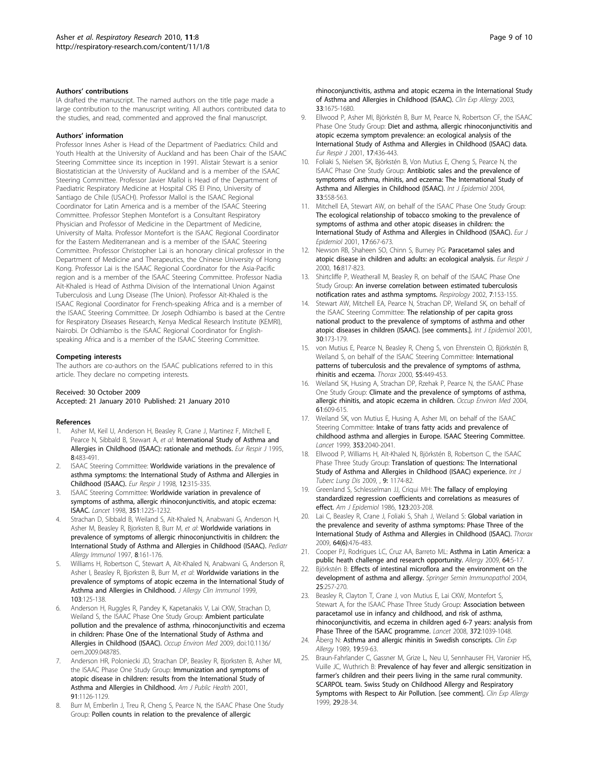#### Authors' contributions

IA drafted the manuscript. The named authors on the title page made a large contribution to the manuscript writing. All authors contributed data to the studies, and read, commented and approved the final manuscript.

#### Authors' information

Professor Innes Asher is Head of the Department of Paediatrics: Child and Youth Health at the University of Auckland and has been Chair of the ISAAC Steering Committee since its inception in 1991. Alistair Stewart is a senior Biostatistician at the University of Auckland and is a member of the ISAAC Steering Committee. Professor Javier Mallol is Head of the Department of Paediatric Respiratory Medicine at Hospital CRS El Pino, University of Santiago de Chile (USACH). Professor Mallol is the ISAAC Regional Coordinator for Latin America and is a member of the ISAAC Steering Committee. Professor Stephen Montefort is a Consultant Respiratory Physician and Professor of Medicine in the Department of Medicine, University of Malta. Professor Montefort is the ISAAC Regional Coordinator for the Eastern Mediterranean and is a member of the ISAAC Steering Committee. Professor Christopher Lai is an honorary clinical professor in the Department of Medicine and Therapeutics, the Chinese University of Hong Kong. Professor Lai is the ISAAC Regional Coordinator for the Asia-Pacific region and is a member of the ISAAC Steering Committee. Professor Nadia Aït-Khaled is Head of Asthma Division of the International Union Against Tuberculosis and Lung Disease (The Union). Professor Aït-Khaled is the ISAAC Regional Coordinator for French-speaking Africa and is a member of the ISAAC Steering Committee. Dr Joseph Odhiambo is based at the Centre for Respiratory Diseases Research, Kenya Medical Research Institute (KEMRI), Nairobi. Dr Odhiambo is the ISAAC Regional Coordinator for Englishspeaking Africa and is a member of the ISAAC Steering Committee.

#### Competing interests

The authors are co-authors on the ISAAC publications referred to in this article. They declare no competing interests.

#### Received: 30 October 2009

Accepted: 21 January 2010 Published: 21 January 2010

#### References

- 1. Asher M, Keil U, Anderson H, Beasley R, Crane J, Martinez F, Mitchell E, Pearce N, Sibbald B, Stewart A, et al: International Study of Asthma and Allergies in Childhood (ISAAC): rationale and methods. Eur Respir J 1995, 8:483-491.
- 2. ISAAC Steering Committee: Worldwide variations in the prevalence of asthma symptoms: the International Study of Asthma and Allergies in Childhood (ISAAC). Eur Respir J 1998, 12:315-335.
- 3. ISAAC Steering Committee: Worldwide variation in prevalence of symptoms of asthma, allergic rhinoconjunctivitis, and atopic eczema: ISAAC. Lancet 1998, 351:1225-1232.
- Strachan D, Sibbald B, Weiland S, Aït-Khaled N, Anabwani G, Anderson H, Asher M, Beasley R, Bjorksten B, Burr M, et al: Worldwide variations in prevalence of symptoms of allergic rhinoconjunctivitis in children: the International Study of Asthma and Allergies in Childhood (ISAAC). Pediatr Allergy Immunol 1997, 8:161-176.
- 5. Williams H, Robertson C, Stewart A, Aït-Khaled N, Anabwani G, Anderson R, Asher I, Beasley R, Bjorksten B, Burr M, et al: Worldwide variations in the prevalence of symptoms of atopic eczema in the International Study of Asthma and Allergies in Childhood. J Allergy Clin Immunol 1999, 103:125-138.
- 6. Anderson H, Ruggles R, Pandey K, Kapetanakis V, Lai CKW, Strachan D, Weiland S, the ISAAC Phase One Study Group: Ambient particulate pollution and the prevalence of asthma, rhinoconjunctivitis and eczema in children: Phase One of the International Study of Asthma and Allergies in Childhood (ISAAC). Occup Environ Med 2009, doi:10.1136/ oem.2009.048785.
- 7. Anderson HR, Poloniecki JD, Strachan DP, Beasley R, Bjorksten B, Asher MI, the ISAAC Phase One Study Group: Immunization and symptoms of atopic disease in children: results from the International Study of Asthma and Allergies in Childhood. Am J Public Health 2001, 91:1126-1129.
- Burr M, Emberlin J, Treu R, Cheng S, Pearce N, the ISAAC Phase One Study Group: Pollen counts in relation to the prevalence of allergic

rhinoconjunctivitis, asthma and atopic eczema in the International Study of Asthma and Allergies in Childhood (ISAAC). Clin Exp Allergy 2003, 33:1675-1680.

- 9. Ellwood P, Asher MI, Björkstén B, Burr M, Pearce N, Robertson CF, the ISAAC Phase One Study Group: Diet and asthma, allergic rhinoconjunctivitis and atopic eczema symptom prevalence: an ecological analysis of the International Study of Asthma and Allergies in Childhood (ISAAC) data. Eur Respir J 2001, 17:436-443.
- 10. Foliaki S, Nielsen SK, Björkstén B, Von Mutius E, Cheng S, Pearce N, the ISAAC Phase One Study Group: Antibiotic sales and the prevalence of symptoms of asthma, rhinitis, and eczema: The International Study of Asthma and Allergies in Childhood (ISAAC). Int J Epidemiol 2004, 33:558-563.
- 11. Mitchell EA, Stewart AW, on behalf of the ISAAC Phase One Study Group: The ecological relationship of tobacco smoking to the prevalence of symptoms of asthma and other atopic diseases in children: the International Study of Asthma and Allergies in Childhood (ISAAC). Eur J Epidemiol 2001, 17:667-673.
- 12. Newson RB, Shaheen SO, Chinn S, Burney PG: Paracetamol sales and atopic disease in children and adults: an ecological analysis. Eur Respir J 2000, 16:817-823.
- 13. Shirtcliffe P, Weatherall M, Beasley R, on behalf of the ISAAC Phase One Study Group: An inverse correlation between estimated tuberculosis notification rates and asthma symptoms. Respirology 2002, 7:153-155.
- 14. Stewart AW, Mitchell EA, Pearce N, Strachan DP, Weiland SK, on behalf of the ISAAC Steering Committee: The relationship of per capita gross national product to the prevalence of symptoms of asthma and other atopic diseases in children (ISAAC). [see comments.]. Int J Epidemiol 2001, 30:173-179.
- 15. von Mutius E, Pearce N, Beasley R, Cheng S, von Ehrenstein O, Björkstén B, Weiland S, on behalf of the ISAAC Steering Committee: International patterns of tuberculosis and the prevalence of symptoms of asthma, rhinitis and eczema. Thorax 2000, 55:449-453.
- 16. Weiland SK, Husing A, Strachan DP, Rzehak P, Pearce N, the ISAAC Phase One Study Group: Climate and the prevalence of symptoms of asthma, allergic rhinitis, and atopic eczema in children. Occup Environ Med 2004, 61:609-615.
- 17. Weiland SK, von Mutius E, Husing A, Asher MI, on behalf of the ISAAC Steering Committee: Intake of trans fatty acids and prevalence of childhood asthma and allergies in Europe. ISAAC Steering Committee. Lancet 1999, 353:2040-2041.
- 18. Ellwood P, Williams H, Aït-Khaled N, Björkstén B, Robertson C, the ISAAC Phase Three Study Group: Translation of questions: The International Study of Asthma and Allergies in Childhood (ISAAC) experience. Int J Tuberc Lung Dis 2009, , 9: 1174-82.
- 19. Greenland S, Schlesselman JJ, Criqui MH: The fallacy of employing standardized regression coefficients and correlations as measures of effect. Am J Epidemiol 1986, 123:203-208.
- 20. Lai C, Beasley R, Crane J, Foliaki S, Shah J, Weiland S: Global variation in the prevalence and severity of asthma symptoms: Phase Three of the International Study of Asthma and Allergies in Childhood (ISAAC). Thorax 2009, 64(6):476-483.
- 21. Cooper PJ, Rodrigues LC, Cruz AA, Barreto ML: Asthma in Latin America: a public heath challenge and research opportunity. Allergy 2009, 64:5-17.
- 22. Björkstén B: Effects of intestinal microflora and the environment on the development of asthma and allergy. Springer Semin Immunopathol 2004, 25:257-270.
- 23. Beasley R, Clayton T, Crane J, von Mutius E, Lai CKW, Montefort S, Stewart A, for the ISAAC Phase Three Study Group: Association between paracetamol use in infancy and childhood, and risk of asthma, rhinoconjunctivitis, and eczema in children aged 6-7 years: analysis from Phase Three of the ISAAC programme. Lancet 2008, 372:1039-1048.
- 24. Åberg N: Asthma and allergic rhinitis in Swedish conscripts. Clin Exp Allergy 1989, 19:59-63.
- 25. Braun-Fahrlander C, Gassner M, Grize L, Neu U, Sennhauser FH, Varonier HS, Vuille JC, Wuthrich B: Prevalence of hay fever and allergic sensitization in farmer's children and their peers living in the same rural community. SCARPOL team. Swiss Study on Childhood Allergy and Respiratory Symptoms with Respect to Air Pollution. [see comment]. Clin Exp Allergy 1999, 29:28-34.